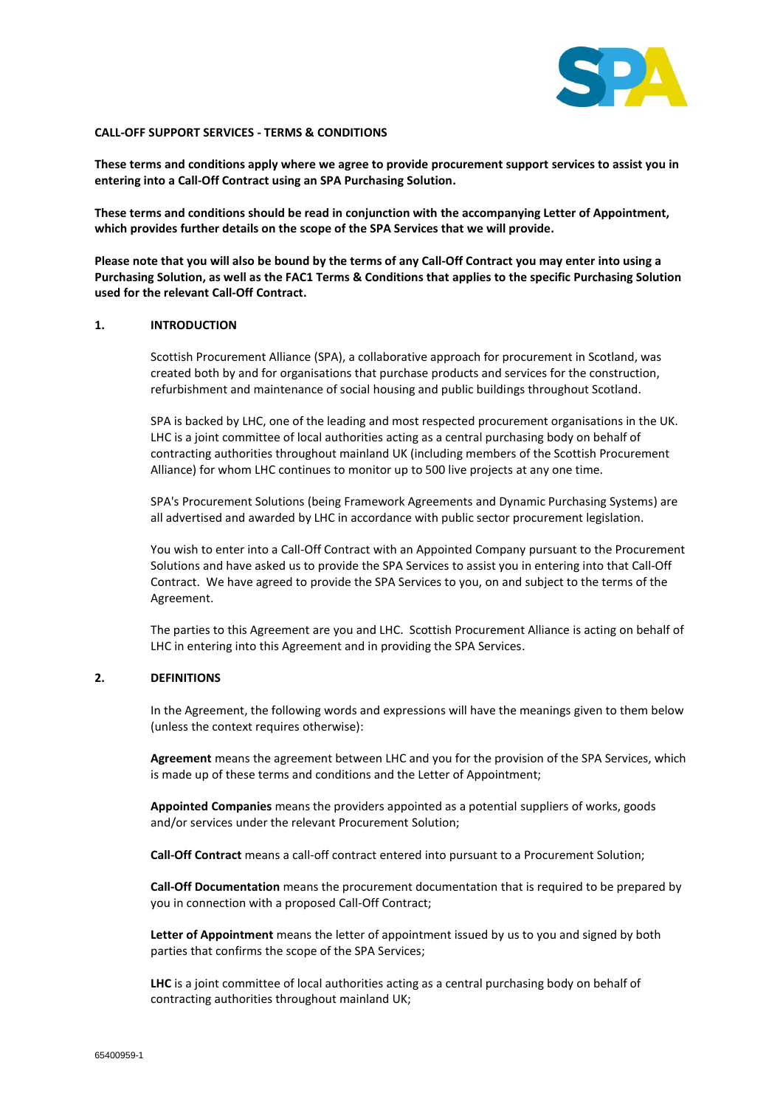

#### **CALL-OFF SUPPORT SERVICES - TERMS & CONDITIONS**

**These terms and conditions apply where we agree to provide procurement support services to assist you in entering into a Call-Off Contract using an SPA Purchasing Solution.** 

**These terms and conditions should be read in conjunction with the accompanying Letter of Appointment, which provides further details on the scope of the SPA Services that we will provide.** 

**Please note that you will also be bound by the terms of any Call-Off Contract you may enter into using a Purchasing Solution, as well as the FAC1 Terms & Conditions that applies to the specific Purchasing Solution used for the relevant Call-Off Contract.**

## **1. INTRODUCTION**

Scottish Procurement Alliance (SPA), a collaborative approach for procurement in Scotland, was created both by and for organisations that purchase products and services for the construction, refurbishment and maintenance of social housing and public buildings throughout Scotland.

SPA is backed by LHC, one of the leading and most respected procurement organisations in the UK. LHC is a joint committee of local authorities acting as a central purchasing body on behalf of contracting authorities throughout mainland UK (including members of the Scottish Procurement Alliance) for whom LHC continues to monitor up to 500 live projects at any one time.

SPA's Procurement Solutions (being Framework Agreements and Dynamic Purchasing Systems) are all advertised and awarded by LHC in accordance with public sector procurement legislation.

You wish to enter into a Call-Off Contract with an Appointed Company pursuant to the Procurement Solutions and have asked us to provide the SPA Services to assist you in entering into that Call-Off Contract. We have agreed to provide the SPA Services to you, on and subject to the terms of the Agreement.

The parties to this Agreement are you and LHC. Scottish Procurement Alliance is acting on behalf of LHC in entering into this Agreement and in providing the SPA Services.

# **2. DEFINITIONS**

In the Agreement, the following words and expressions will have the meanings given to them below (unless the context requires otherwise):

**Agreement** means the agreement between LHC and you for the provision of the SPA Services, which is made up of these terms and conditions and the Letter of Appointment;

**Appointed Companies** means the providers appointed as a potential suppliers of works, goods and/or services under the relevant Procurement Solution;

**Call-Off Contract** means a call-off contract entered into pursuant to a Procurement Solution;

**Call-Off Documentation** means the procurement documentation that is required to be prepared by you in connection with a proposed Call-Off Contract;

**Letter of Appointment** means the letter of appointment issued by us to you and signed by both parties that confirms the scope of the SPA Services;

**LHC** is a joint committee of local authorities acting as a central purchasing body on behalf of contracting authorities throughout mainland UK;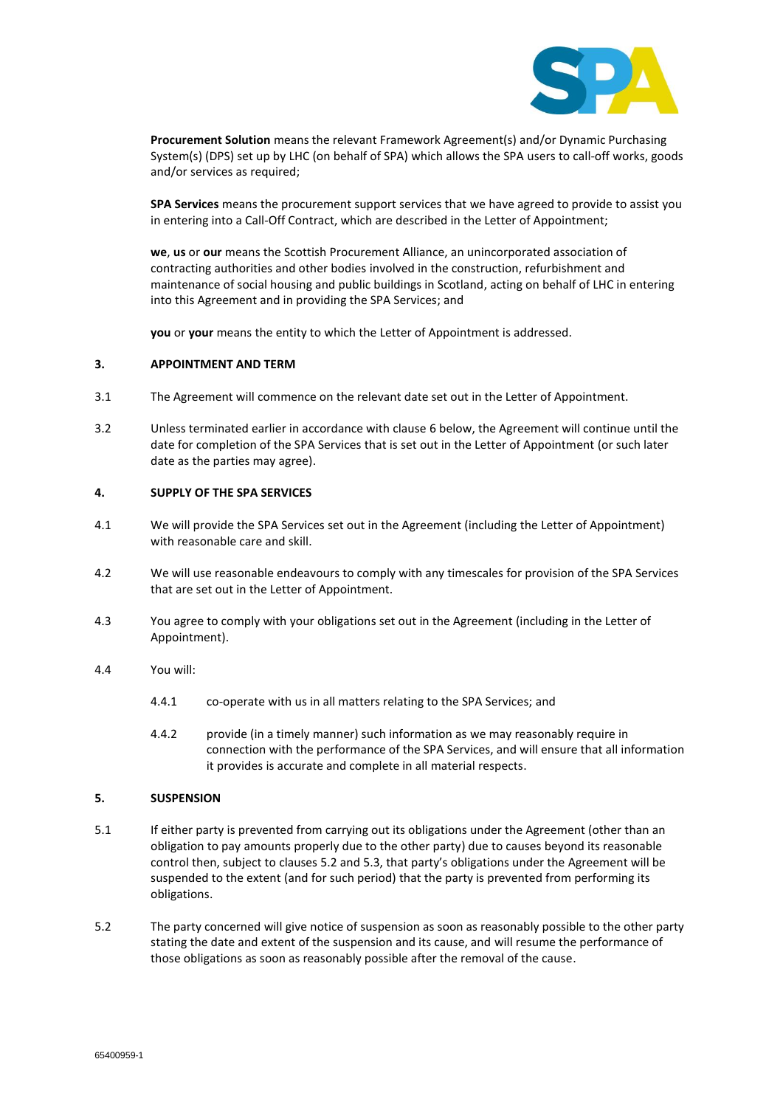

**Procurement Solution** means the relevant Framework Agreement(s) and/or Dynamic Purchasing System(s) (DPS) set up by LHC (on behalf of SPA) which allows the SPA users to call-off works, goods and/or services as required;

**SPA Services** means the procurement support services that we have agreed to provide to assist you in entering into a Call-Off Contract, which are described in the Letter of Appointment;

**we**, **us** or **our** means the Scottish Procurement Alliance, an unincorporated association of contracting authorities and other bodies involved in the construction, refurbishment and maintenance of social housing and public buildings in Scotland, acting on behalf of LHC in entering into this Agreement and in providing the SPA Services; and

**you** or **your** means the entity to which the Letter of Appointment is addressed.

### **3. APPOINTMENT AND TERM**

- 3.1 The Agreement will commence on the relevant date set out in the Letter of Appointment.
- 3.2 Unless terminated earlier in accordance with clause 6 below, the Agreement will continue until the date for completion of the SPA Services that is set out in the Letter of Appointment (or such later date as the parties may agree).

### **4. SUPPLY OF THE SPA SERVICES**

- 4.1 We will provide the SPA Services set out in the Agreement (including the Letter of Appointment) with reasonable care and skill.
- 4.2 We will use reasonable endeavours to comply with any timescales for provision of the SPA Services that are set out in the Letter of Appointment.
- 4.3 You agree to comply with your obligations set out in the Agreement (including in the Letter of Appointment).
- 4.4 You will:
	- 4.4.1 co-operate with us in all matters relating to the SPA Services; and
	- 4.4.2 provide (in a timely manner) such information as we may reasonably require in connection with the performance of the SPA Services, and will ensure that all information it provides is accurate and complete in all material respects.

#### **5. SUSPENSION**

- 5.1 If either party is prevented from carrying out its obligations under the Agreement (other than an obligation to pay amounts properly due to the other party) due to causes beyond its reasonable control then, subject to clauses 5.2 and 5.3, that party's obligations under the Agreement will be suspended to the extent (and for such period) that the party is prevented from performing its obligations.
- 5.2 The party concerned will give notice of suspension as soon as reasonably possible to the other party stating the date and extent of the suspension and its cause, and will resume the performance of those obligations as soon as reasonably possible after the removal of the cause.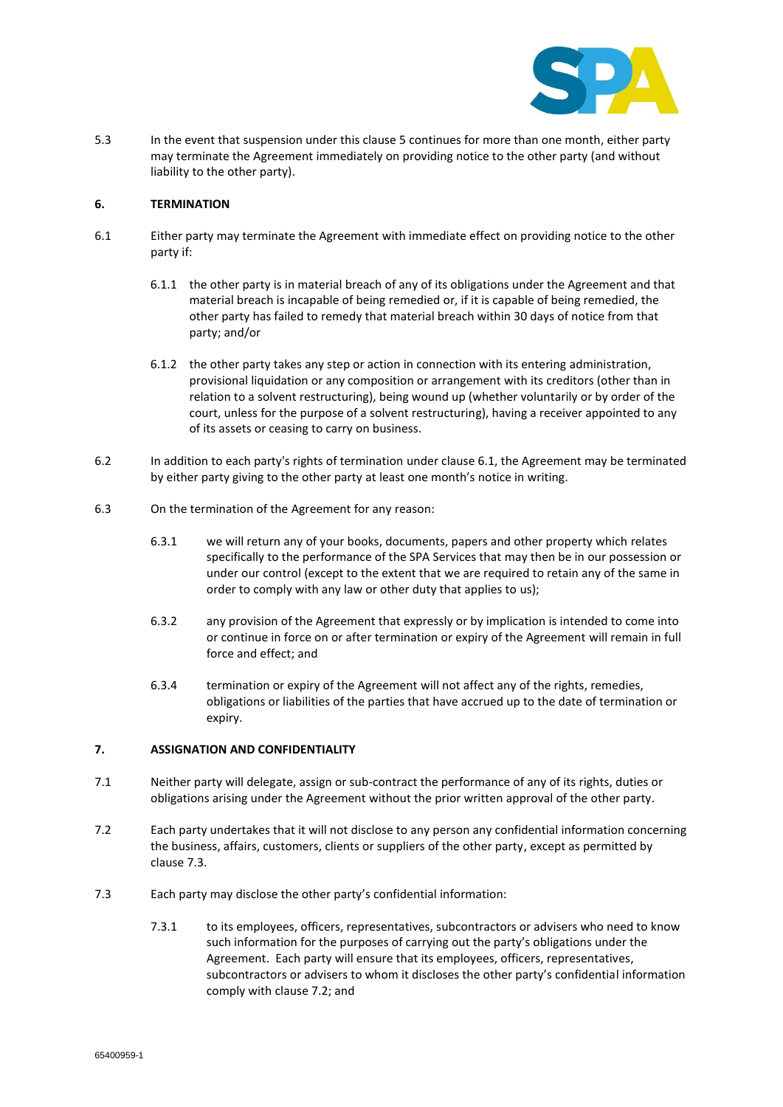

5.3 In the event that suspension under this clause 5 continues for more than one month, either party may terminate the Agreement immediately on providing notice to the other party (and without liability to the other party).

## **6. TERMINATION**

- 6.1 Either party may terminate the Agreement with immediate effect on providing notice to the other party if:
	- 6.1.1 the other party is in material breach of any of its obligations under the Agreement and that material breach is incapable of being remedied or, if it is capable of being remedied, the other party has failed to remedy that material breach within 30 days of notice from that party; and/or
	- 6.1.2 the other party takes any step or action in connection with its entering administration, provisional liquidation or any composition or arrangement with its creditors (other than in relation to a solvent restructuring), being wound up (whether voluntarily or by order of the court, unless for the purpose of a solvent restructuring), having a receiver appointed to any of its assets or ceasing to carry on business.
- 6.2 In addition to each party's rights of termination under clause 6.1, the Agreement may be terminated by either party giving to the other party at least one month's notice in writing.
- 6.3 On the termination of the Agreement for any reason:
	- 6.3.1 we will return any of your books, documents, papers and other property which relates specifically to the performance of the SPA Services that may then be in our possession or under our control (except to the extent that we are required to retain any of the same in order to comply with any law or other duty that applies to us);
	- 6.3.2 any provision of the Agreement that expressly or by implication is intended to come into or continue in force on or after termination or expiry of the Agreement will remain in full force and effect; and
	- 6.3.4 termination or expiry of the Agreement will not affect any of the rights, remedies, obligations or liabilities of the parties that have accrued up to the date of termination or expiry.

#### **7. ASSIGNATION AND CONFIDENTIALITY**

- 7.1 Neither party will delegate, assign or sub-contract the performance of any of its rights, duties or obligations arising under the Agreement without the prior written approval of the other party.
- 7.2 Each party undertakes that it will not disclose to any person any confidential information concerning the business, affairs, customers, clients or suppliers of the other party, except as permitted by clause 7.3.
- 7.3 Each party may disclose the other party's confidential information:
	- 7.3.1 to its employees, officers, representatives, subcontractors or advisers who need to know such information for the purposes of carrying out the party's obligations under the Agreement. Each party will ensure that its employees, officers, representatives, subcontractors or advisers to whom it discloses the other party's confidential information comply with clause 7.2; and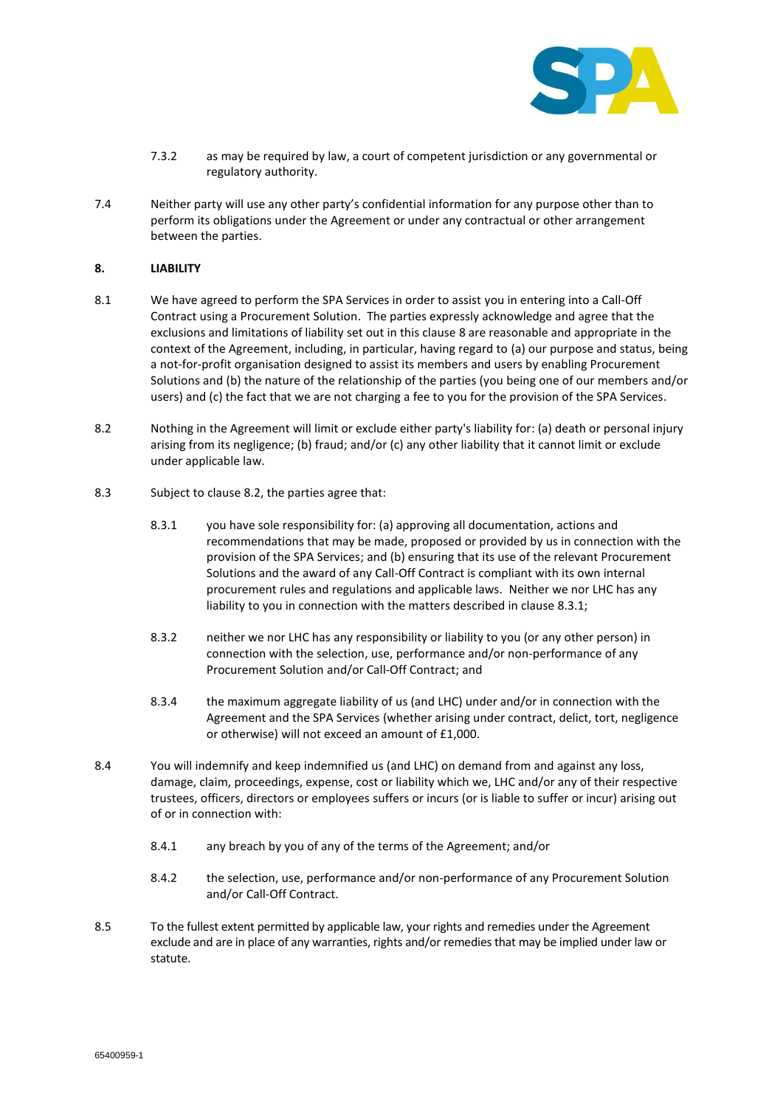

- 7.3.2 as may be required by law, a court of competent jurisdiction or any governmental or regulatory authority.
- 7.4 Neither party will use any other party's confidential information for any purpose other than to perform its obligations under the Agreement or under any contractual or other arrangement between the parties.

# **8. LIABILITY**

- 8.1 We have agreed to perform the SPA Services in order to assist you in entering into a Call-Off Contract using a Procurement Solution. The parties expressly acknowledge and agree that the exclusions and limitations of liability set out in this clause 8 are reasonable and appropriate in the context of the Agreement, including, in particular, having regard to (a) our purpose and status, being a not-for-profit organisation designed to assist its members and users by enabling Procurement Solutions and (b) the nature of the relationship of the parties (you being one of our members and/or users) and (c) the fact that we are not charging a fee to you for the provision of the SPA Services.
- 8.2 Nothing in the Agreement will limit or exclude either party's liability for: (a) death or personal injury arising from its negligence; (b) fraud; and/or (c) any other liability that it cannot limit or exclude under applicable law.
- 8.3 Subject to clause 8.2, the parties agree that:
	- 8.3.1 you have sole responsibility for: (a) approving all documentation, actions and recommendations that may be made, proposed or provided by us in connection with the provision of the SPA Services; and (b) ensuring that its use of the relevant Procurement Solutions and the award of any Call-Off Contract is compliant with its own internal procurement rules and regulations and applicable laws. Neither we nor LHC has any liability to you in connection with the matters described in clause 8.3.1;
	- 8.3.2 neither we nor LHC has any responsibility or liability to you (or any other person) in connection with the selection, use, performance and/or non-performance of any Procurement Solution and/or Call-Off Contract; and
	- 8.3.4 the maximum aggregate liability of us (and LHC) under and/or in connection with the Agreement and the SPA Services (whether arising under contract, delict, tort, negligence or otherwise) will not exceed an amount of £1,000.
- 8.4 You will indemnify and keep indemnified us (and LHC) on demand from and against any loss, damage, claim, proceedings, expense, cost or liability which we, LHC and/or any of their respective trustees, officers, directors or employees suffers or incurs (or is liable to suffer or incur) arising out of or in connection with:
	- 8.4.1 any breach by you of any of the terms of the Agreement; and/or
	- 8.4.2 the selection, use, performance and/or non-performance of any Procurement Solution and/or Call-Off Contract.
- 8.5 To the fullest extent permitted by applicable law, your rights and remedies under the Agreement exclude and are in place of any warranties, rights and/or remedies that may be implied under law or statute.